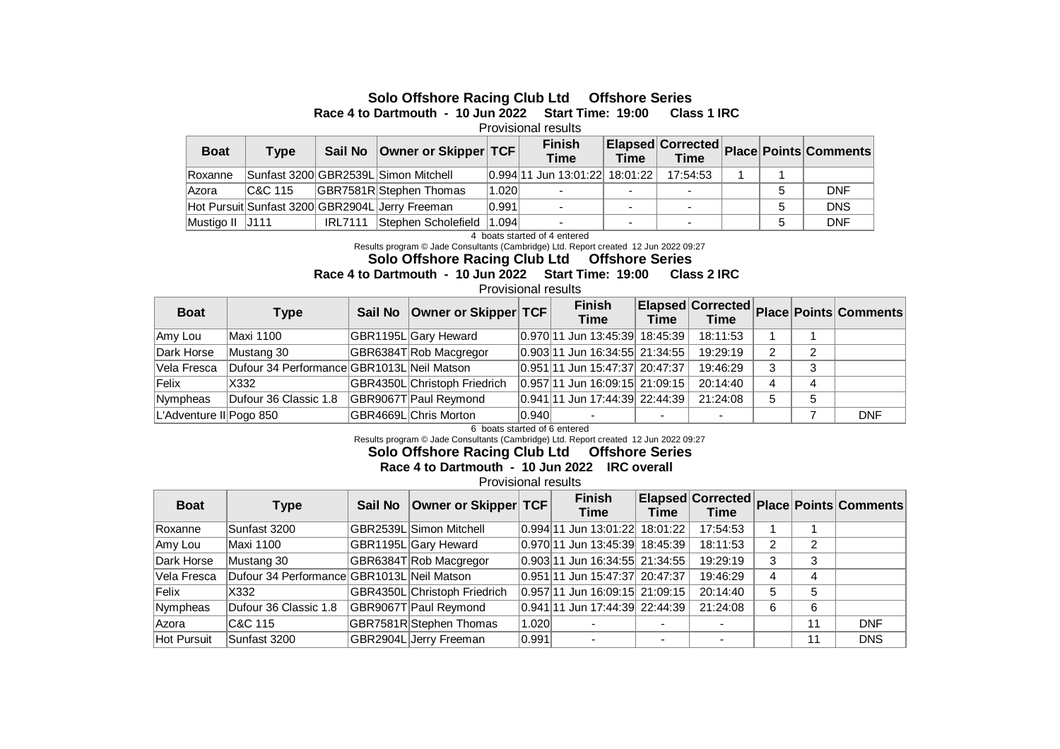## **Solo Offshore Racing Club Ltd Offshore Series**

**Race 4 to Dartmouth - 10 Jun 2022 Start Time: 19:00 Class 1 IRC** 

Provisional results

| <b>Boat</b>     | Type    | Sail No        | Owner or Skipper TCF                            |       | <b>Finish</b><br><b>Time</b>   |                          |                          |  | <b>Elapsed Corrected Place Points Comments</b> |
|-----------------|---------|----------------|-------------------------------------------------|-------|--------------------------------|--------------------------|--------------------------|--|------------------------------------------------|
| Roxanne         |         |                | Sunfast 3200 GBR2539L Simon Mitchell            |       | 0.994 11 Jun 13:01:22 18:01:22 |                          | 17:54:53                 |  |                                                |
| lAzora          | C&C 115 |                | GBR7581R Stephen Thomas                         | 1.020 |                                |                          |                          |  | <b>DNF</b>                                     |
|                 |         |                | Hot Pursuit Sunfast 3200 GBR2904L Jerry Freeman | 0.991 | $\overline{\phantom{0}}$       | $\sim$                   | $\overline{\phantom{a}}$ |  | <b>DNS</b>                                     |
| Mustigo II J111 |         | <b>IRL7111</b> | Stephen Scholefield                             | 1.094 | $\sim$                         | $\overline{\phantom{0}}$ | $\overline{\phantom{0}}$ |  | <b>DNF</b>                                     |

4 boats started of 4 entered

Results program © Jade Consultants (Cambridge) Ltd. Report created 12 Jun 2022 09:27

**Solo Offshore Racing Club Ltd Offshore Series**

## **Race 4 to Dartmouth - 10 Jun 2022 Start Time: 19:00 Class 2 IRC**

Provisional results

| <b>Boat</b>             | <b>Type</b>                                | Sail No   Owner or Skipper   TCF |       | <b>Finish</b><br><b>Time</b>       | <b>Time</b> | <b>Time</b> |   |   | <b>Elapsed Corrected Place Points Comments</b> |
|-------------------------|--------------------------------------------|----------------------------------|-------|------------------------------------|-------------|-------------|---|---|------------------------------------------------|
| Amy Lou                 | Maxi 1100                                  | GBR1195L Gary Heward             |       | 0.970 11 Jun 13:45:39 18:45:39     |             | 18:11:53    |   |   |                                                |
| Dark Horse              | Mustang 30                                 | GBR6384T Rob Macgregor           |       | $ 0.903 $ 11 Jun 16:34:55 21:34:55 |             | 19:29:19    |   |   |                                                |
| Vela Fresca             | Dufour 34 Performance GBR1013L Neil Matson |                                  |       | 0.951 11 Jun 15:47:37 20:47:37     |             | 19:46:29    |   |   |                                                |
| Felix                   | X332                                       | GBR4350L Christoph Friedrich     |       | $ 0.957 11$ Jun 16:09:15 21:09:15  |             | 20:14:40    | 4 |   |                                                |
| Nympheas                | Dufour 36 Classic 1.8                      | GBR9067T Paul Reymond            |       | 0.941 11 Jun 17:44:39 22:44:39     |             | 21:24:08    | 5 | 5 |                                                |
| L'Adventure II Pogo 850 |                                            | GBR4669L Chris Morton            | 0.940 |                                    |             |             |   |   | <b>DNF</b>                                     |

6 boats started of 6 entered

Results program © Jade Consultants (Cambridge) Ltd. Report created 12 Jun 2022 09:27

**Solo Offshore Racing Club Ltd Offshore Series**

**Race 4 to Dartmouth - 10 Jun 2022 IRC overall** 

Provisional results

| <b>Boat</b>  | Type                                       | Sail No | Owner or Skipper TCF         |       | <b>Finish</b><br>Time          | <b>Time</b>              | <b>Time</b> |   |    | <b>Elapsed Corrected Place Points Comments</b> |
|--------------|--------------------------------------------|---------|------------------------------|-------|--------------------------------|--------------------------|-------------|---|----|------------------------------------------------|
| Roxanne      | Sunfast 3200                               |         | GBR2539L Simon Mitchell      |       | 0.994 11 Jun 13:01:22 18:01:22 |                          | 17:54:53    |   |    |                                                |
| Amy Lou      | Maxi 1100                                  |         | GBR1195L Gary Heward         |       | 0.970 11 Jun 13:45:39 18:45:39 |                          | 18:11:53    | 2 | 2  |                                                |
| Dark Horse   | Mustang 30                                 |         | GBR6384T Rob Macgregor       |       | 0.903 11 Jun 16:34:55 21:34:55 |                          | 19:29:19    | 3 | 3  |                                                |
| Vela Fresca  | Dufour 34 Performance GBR1013L Neil Matson |         |                              |       | 0.951 11 Jun 15:47:37 20:47:37 |                          | 19:46:29    | 4 | 4  |                                                |
| Felix        | X332                                       |         | GBR4350L Christoph Friedrich |       | 0.957 11 Jun 16:09:15 21:09:15 |                          | 20:14:40    | 5 | 5  |                                                |
| Nympheas     | Dufour 36 Classic 1.8                      |         | GBR9067T Paul Reymond        |       | 0.941 11 Jun 17:44:39 22:44:39 |                          | 21:24:08    | 6 | 6  |                                                |
| <b>Azora</b> | C&C 115                                    |         | GBR7581R Stephen Thomas      | 1.020 |                                |                          |             |   | 11 | <b>DNF</b>                                     |
| Hot Pursuit  | Sunfast 3200                               |         | GBR2904L Jerry Freeman       | 0.991 |                                | $\overline{\phantom{0}}$ |             |   | 11 | <b>DNS</b>                                     |